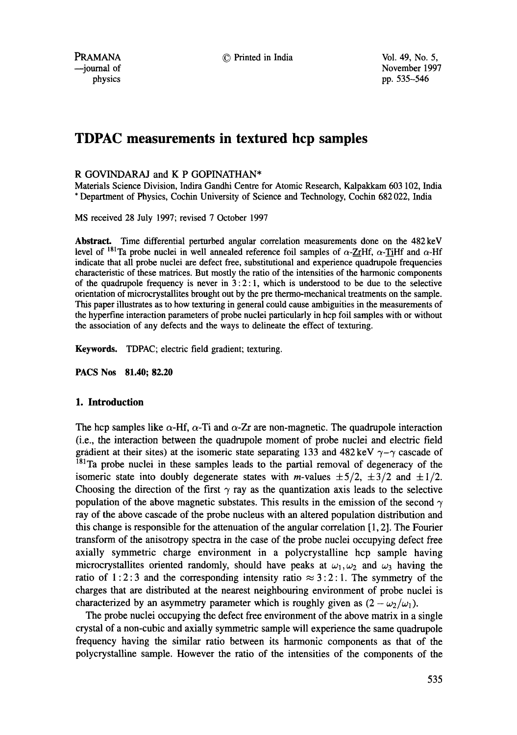PRAMANA © Printed in India Vol. 49, No. 5,

-journal of November 1997 physics pp. 535-546

# **TDPAC measurements in textured hcp samples**

#### R GOVINDARAJ and K P GOPINATHAN\*

Materials Science Division, Indira Gandhi Centre for Atomic Research, Kalpakkam 603 102, India \* Department of Physics, Cochin University of Science and Technology, Cochin 682 022, India

MS received 28 July 1997; revised 7 October 1997

**Abstract.** Time differential perturbed angular correlation measurements done on the 482keV level of <sup>181</sup>Ta probe nuclei in well annealed reference foil samples of  $\alpha$ -ZrHf,  $\alpha$ -TiHf and  $\alpha$ -Hf indicate that all probe nuclei are defect free, substitutional and experience quadrupole frequencies characteristic of these matrices. But mostly the ratio of the intensities of the harmonic components of the quadrupole frequency is never in  $3:2:1$ , which is understood to be due to the selective orientation of microcrystallites brought out by the pre thermo-mechanical treatments on the sample. This paper illustrates as to how texturing in general could cause ambiguities in the measurements of the hyperfine interaction parameters of probe nuclei particularly in hcp foil samples with or without the association of any defects and the ways to delineate the effect of texturing.

**Keywords.** TDPAC; electric field gradient; texturing.

**PACS Nos 81.40; 82.20** 

## 1. Introduction

The hcp samples like  $\alpha$ -Hf,  $\alpha$ -Ti and  $\alpha$ -Zr are non-magnetic. The quadrupole interaction (i.e., the interaction between the quadrupole moment of probe nuclei and electric field gradient at their sites) at the isomeric state separating 133 and 482 keV  $\gamma-\gamma$  cascade of <sup>181</sup>Ta probe nuclei in these samples leads to the partial removal of degeneracy of the isomeric state into doubly degenerate states with m-values  $\pm 5/2$ ,  $\pm 3/2$  and  $\pm 1/2$ . Choosing the direction of the first  $\gamma$  ray as the quantization axis leads to the selective population of the above magnetic substates. This results in the emission of the second  $\gamma$ ray of the above cascade of the probe nucleus with an altered population distribution and this change is responsible for the attenuation of the angular correlation  $[1, 2]$ . The Fourier transform of the anisotropy spectra in the case of the probe nuclei occupying defect free axially symmetric charge environment in a polycrystalline hcp sample having microcrystallites oriented randomly, should have peaks at  $\omega_1, \omega_2$  and  $\omega_3$  having the ratio of 1:2:3 and the corresponding intensity ratio  $\approx$  3:2:1. The symmetry of the charges that are distributed at the nearest neighbouring environment of probe nuclei is characterized by an asymmetry parameter which is roughly given as  $(2 - \omega_2/\omega_1)$ .

The probe nuclei occupying the defect free environment of the above matrix in a single crystal of a non-cubic and axially symmetric sample will experience the same quadrupole frequency having the similar ratio between its harmonic components as that of the polycrystalline sample. However the ratio of the intensities of the components of the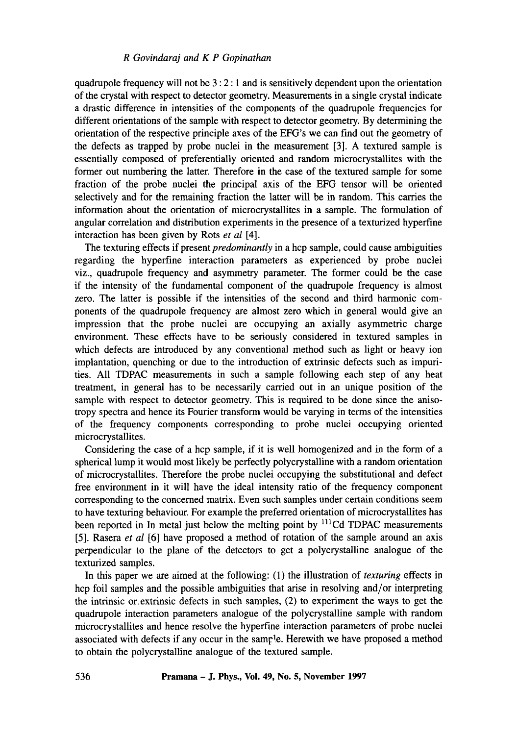quadrupole frequency will not be  $3:2:1$  and is sensitively dependent upon the orientation of the crystal with respect to detector geometry. Measurements in a single crystal indicate a drastic difference in intensities of the components of the quadrupole frequencies for different orientations of the sample with respect to detector geometry. By determining the orientation of the respective principle axes of the EFG's we can find out the geometry of the defects as trapped by probe nuclei in the measurement [3]. A textured sample is essentially composed of preferentially oriented and random microcrystallites with the former out numbering the latter. Therefore in the case of the textured sample for some fraction of the probe nuclei the principal axis of the EFG tensor will be oriented selectively and for the remaining fraction the latter will be in random. This carries the information about the orientation of microcrystallites in a sample. The formulation of angular correlation and distribution experiments in the presence of a texturized hyperfine interaction has been given by Rots *et al* [4].

The texturing effects if present *predominantly* in a hcp sample, could cause ambiguities regarding the hyperfine interaction parameters as experienced by probe nuclei viz., quadrupole frequency and asymmetry parameter. The former could be the case if the intensity of the fundamental component of the quadrupole frequency is almost zero. The latter is possible if the intensities of the second and third harmonic components of the quadrupole frequency are almost zero which in general would give an impression that the probe nuclei are occupying an axially asymmetric charge environment. These effects have to be seriously considered in textured samples in which defects are introduced by any conventional method such as light or heavy ion implantation, quenching or due to the introduction of extrinsic defects such as impurities. All TDPAC measurements in such a sample following each step of any heat treatment, in general has to be necessarily carried out in an unique position of the sample with respect to detector geometry. This is required to be done since the anisotropy spectra and hence its Fourier transform would be varying in terms of the intensities of the frequency components corresponding to probe nuclei occupying oriented microcrystallites.

Considering the case of a hcp sample, if it is well homogenized and in the form of a spherical lump it would most likely be perfectly polycrystalline with a random orientation of microcrystallites. Therefore the probe nuclei occupying the substitutional and defect free environment in it will have the ideal intensity ratio of the frequency component corresponding to the concerned matrix. Even such samples under certain conditions seem to have texturing behaviour. For example the preferred orientation of microcrystallites has been reported in In metal just below the melting point by  $\frac{111}{Cd}$  TDPAC measurements [5]. Rasera *et al* [6] have proposed a method of rotation of the sample around an axis perpendicular to the plane of the detectors to get a polycrystalline analogue of the texturized samples.

In this paper we are aimed at the following: (1) the illustration of *texturing* effects in hcp foil samples and the possible ambiguities that arise in resolving and/or interpreting the intrinsic or,extrinsic defects in such samples, (2) to experiment the ways to get the quadrupole interaction parameters analogue of the polycrystalline sample with random microcrystallites and hence resolve the hyperfine interaction parameters of probe nuclei associated with defects if any occur in the sample. Herewith we have proposed a method to obtain the polycrystalline analogue of the textured sample.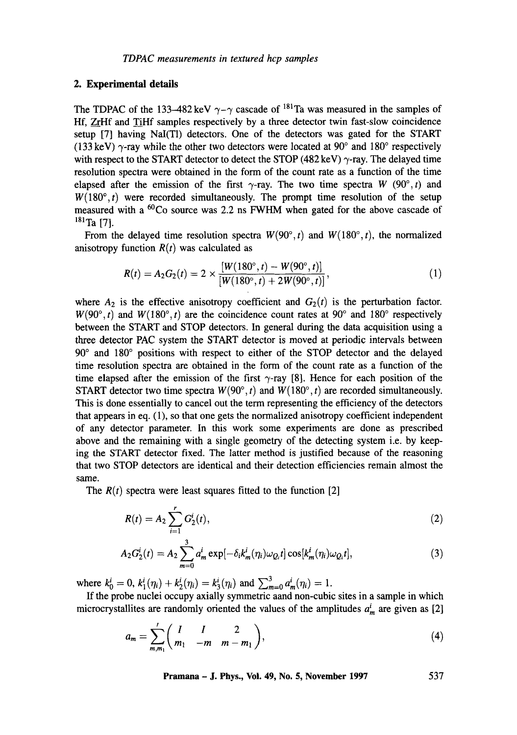#### **2. Experimental details**

The TDPAC of the 133-482 keV  $\gamma$ - $\gamma$  cascade of <sup>181</sup>Ta was measured in the samples of Hf, ZrHf and TiHf samples respectively by a three detector twin fast-slow coincidence setup [7] having NaI(T1) detectors. One of the detectors was gated for the START (133 keV)  $\gamma$ -ray while the other two detectors were located at 90 $^{\circ}$  and 180 $^{\circ}$  respectively with respect to the START detector to detect the STOP (482 keV)  $\gamma$ -ray. The delayed time resolution spectra were obtained in the form of the count rate as a function of the time elapsed after the emission of the first  $\gamma$ -ray. The two time spectra W (90°, t) and  $W(180^\circ, t)$  were recorded simultaneously. The prompt time resolution of the setup measured with a <sup>60</sup>Co source was 2.2 ns FWHM when gated for the above cascade of 181Ta [7].

From the delayed time resolution spectra  $W(90^{\circ}, t)$  and  $W(180^{\circ}, t)$ , the normalized anisotropy function  $R(t)$  was calculated as

$$
R(t) = A_2 G_2(t) = 2 \times \frac{[W(180^\circ, t) - W(90^\circ, t)]}{[W(180^\circ, t) + 2W(90^\circ, t)]},
$$
\n(1)

where  $A_2$  is the effective anisotropy coefficient and  $G_2(t)$  is the perturbation factor.  $W(90^\circ, t)$  and  $W(180^\circ, t)$  are the coincidence count rates at 90° and 180° respectively between the START and STOP detectors. In general during the data acquisition using a three detector PAC system the START detector is moved at periodic intervals between  $90^\circ$  and  $180^\circ$  positions with respect to either of the STOP detector and the delayed time resolution spectra are obtained in the form of the count rate as a function of the time elapsed after the emission of the first  $\gamma$ -ray [8]. Hence for each position of the START detector two time spectra  $W(90^\circ, t)$  and  $W(180^\circ, t)$  are recorded simultaneously. This is done essentially to cancel out the term representing the efficiency of the detectors that appears in eq. (1), so that one gets the normalized anisotropy coefficient independent of any detector parameter. In this work some experiments are done as prescribed above and the remaining with a single geometry of the detecting system i.e. by keeping the START detector fixed. The latter method is justified because of the reasoning that two STOP detectors are identical and their detection efficiencies remain almost the same.

The  $R(t)$  spectra were least squares fitted to the function [2]

$$
R(t) = A_2 \sum_{i=1}^{r} G_2^{i}(t),
$$
 (2)

$$
A_2 G_2^i(t) = A_2 \sum_{m=0}^3 a_m^i \exp[-\delta_i k_m^i(\eta_i)\omega_{Q_i} t] \cos[k_m^i(\eta_i)\omega_{Q_i} t],
$$
 (3)

where  $k_0^i = 0$ ,  $k_1^i(\eta_i) + k_2^i(\eta_i) = k_3^i(\eta_i)$  and  $\sum_{m=0}^{3} a_m^i(\eta_i) = 1$ .

If the probe nuclei occupy axially symmetric aand non-cubic sites in a sample in which microcrystallites are randomly oriented the values of the amplitudes  $a_m^i$  are given as [2]

$$
a_m = \sum_{m,m_1}^{'} \left( \begin{array}{ccc} I & I & 2 \\ m_1 & -m & m-m_1 \end{array} \right), \tag{4}
$$

**Pramana - J. Phys., Vol. 49, No. 5, November 1997 537**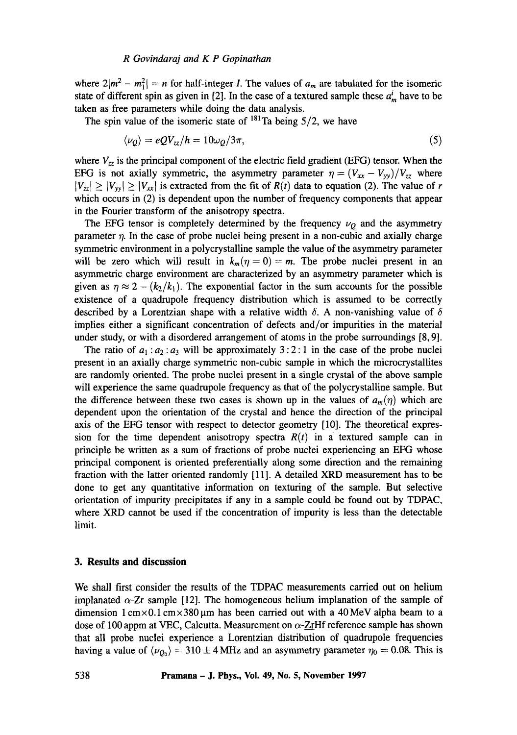where  $2|m^2 - m_1^2| = n$  for half-integer *I*. The values of  $a_m$  are tabulated for the isomeric state of different spin as given in [2]. In the case of a textured sample these  $a_m^i$  have to be taken as free parameters while doing the data analysis.

The spin value of the isomeric state of  $^{181}$ Ta being 5/2, we have

$$
\langle \nu_Q \rangle = eQV_{zz}/h = 10\omega_Q/3\pi,\tag{5}
$$

where  $V_{zz}$  is the principal component of the electric field gradient (EFG) tensor. When the EFG is not axially symmetric, the asymmetry parameter  $\eta = (V_{xx} - V_{yy})/V_{zz}$  where  $|V_{zz}| \ge |V_{yy}| \ge |V_{xx}|$  is extracted from the fit of  $R(t)$  data to equation (2). The value of r which occurs in (2) is dependent upon the number of frequency components that appear in the Fourier transform of the anisotropy spectra.

The EFG tensor is completely determined by the frequency  $\nu<sub>Q</sub>$  and the asymmetry parameter  $\eta$ . In the case of probe nuclei being present in a non-cubic and axially charge symmetric environment in a polycrystalline sample the value of the asymmetry parameter will be zero which will result in  $k_m(\eta = 0) = m$ . The probe nuclei present in an asymmetric charge environment are characterized by an asymmetry parameter which is given as  $\eta \approx 2 - (k_2/k_1)$ . The exponential factor in the sum accounts for the possible existence of a quadrupole frequency distribution which is assumed to be correctly described by a Lorentzian shape with a relative width  $\delta$ . A non-vanishing value of  $\delta$ implies either a significant concentration of defects and/or impurities in the material under study, or with a disordered arrangement of atoms in the probe surroundings [8, 9].

The ratio of  $a_1 : a_2 : a_3$  will be approximately 3:2:1 in the case of the probe nuclei present in an axially charge symmetric non-cubic sample in which the microcrystallites are randomly oriented. The probe nuclei present in a single crystal of the above sample will experience the same quadrupole frequency as that of the polycrystalline sample. But the difference between these two cases is shown up in the values of  $a_m(\eta)$  which are dependent upon the orientation of the crystal and hence the direction of the principal axis of the EFG tensor with respect to detector geometry [10]. The theoretical expression for the time dependent anisotropy spectra  $R(t)$  in a textured sample can in principle be written as a sum of fractions of probe nuclei experiencing an EFG whose principal component is oriented preferentially along some direction and the remaining fraction with the latter oriented randomly [11]. A detailed XRD measurement has to be done to get any quantitative information on texturing of the sample. But selective orientation of impurity precipitates if any in a sample could be found out by TDPAC, where XRD cannot be used if the concentration of impurity is less than the detectable limit.

## **3. Results and discussion**

We shall first consider the results of the TDPAC measurements carried out on helium implanated  $\alpha$ -Zr sample [12]. The homogeneous helium implanation of the sample of dimension  $1 \text{ cm} \times 0.1 \text{ cm} \times 380 \text{ }\mu\text{m}$  has been carried out with a 40 MeV alpha beam to a dose of 100 appm at VEC, Calcutta. Measurement on  $\alpha$ -ZrHf reference sample has shown that all probe nuclei experience a Lorentzian distribution of quadrupole frequencies having a value of  $\langle \nu_{O_0} \rangle = 310 \pm 4 \text{ MHz}$  and an asymmetry parameter  $\eta_0 = 0.08$ . This is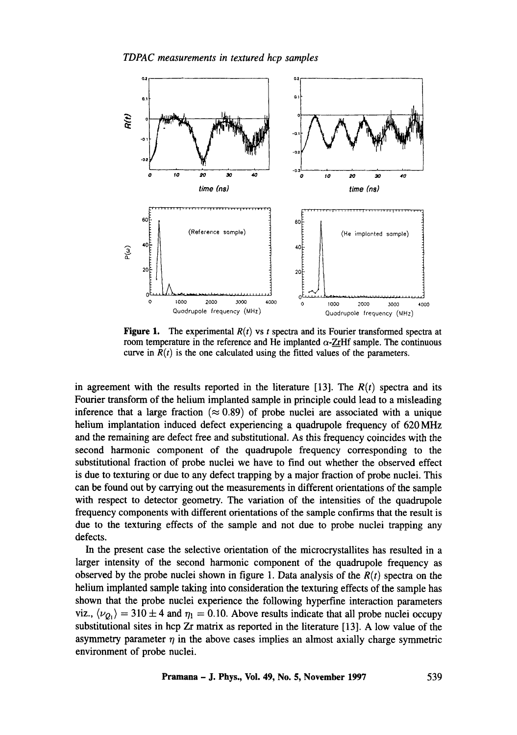

**Figure 1.** The experimental  $R(t)$  vs t spectra and its Fourier transformed spectra at room temperature in the reference and He implanted  $\alpha$ -ZrHf sample. The continuous curve in  $R(t)$  is the one calculated using the fitted values of the parameters.

in agreement with the results reported in the literature  $[13]$ . The  $R(t)$  spectra and its Fourier transform of the helium implanted sample in principle could lead to a misleading inference that a large fraction ( $\approx 0.89$ ) of probe nuclei are associated with a unique helium implantation induced defect experiencing a quadrupole frequency of 620 MHz and the remaining are defect free and substitutional. As this frequency coincides with the second harmonic component of the quadrupole frequency corresponding to the substitutional fraction of probe nuclei we have to find out whether the observed effect is due to texturing or due to any defect trapping by a major fraction of probe nuclei. This can be found out by carrying out the measurements in different orientations of the sample with respect to detector geometry. The variation of the intensities of the quadrupole frequency components with different orientations of the sample confirms that the result is due to the texturing effects of the sample and not due to probe nuclei trapping any defects.

In the present case the selective orientation of the microcrystallites has resulted in a larger intensity of the second harmonic component of the quadrupole frequency as observed by the probe nuclei shown in figure 1. Data analysis of the  $R(t)$  spectra on the helium implanted sample taking into consideration the texturing effects of the sample has shown that the probe nuclei experience the following hyperfine interaction parameters viz.,  $\langle \nu_{Q_1} \rangle = 310 \pm 4$  and  $\eta_1 = 0.10$ . Above results indicate that all probe nuclei occupy substitutional sites in hcp Zr matrix as reported in the literature [13]. A low value of the asymmetry parameter  $\eta$  in the above cases implies an almost axially charge symmetric environment of probe nuclei.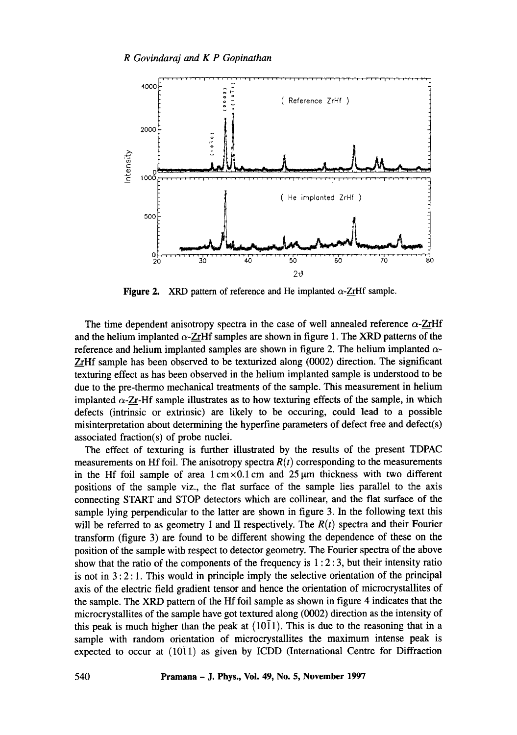

**Figure 2.** XRD pattern of reference and He implanted  $\alpha$ -ZrHf sample.

The time dependent anisotropy spectra in the case of well annealed reference  $\alpha$ -Z<sub>*E*</sub>Hf and the helium implanted  $\alpha$ -ZrHf samples are shown in figure 1. The XRD patterns of the reference and helium implanted samples are shown in figure 2. The helium implanted  $\alpha$ -ZrHf sample has been observed to be texturized along (0002) direction. The significant texturing effect as has been observed in the helium implanted sample is understood to be due to the pre-thermo mechanical treatments of the sample. This measurement in helium implanted  $\alpha$ -Zr-Hf sample illustrates as to how texturing effects of the sample, in which defects (intrinsic or extrinsic) are likely to be occuring, could lead to a possible misinterpretation about determining the hyperfine parameters of defect free and defect(s) associated fraction(s) of probe nuclei.

The effect of texturing is further illustrated by the results of the present TDPAC measurements on Hf foil. The anisotropy spectra  $R(t)$  corresponding to the measurements in the Hf foil sample of area  $1 \text{ cm} \times 0.1 \text{ cm}$  and  $25 \mu \text{m}$  thickness with two different positions of the sample viz., the flat surface of the sample lies parallel to the axis connecting START and STOP detectors which are collinear, and the fiat surface of the sample lying perpendicular to the latter are shown in figure 3. In the following text this will be referred to as geometry I and II respectively. The  $R(t)$  spectra and their Fourier transform (figure 3) are found to be different showing the dependence of these on the position of the sample with respect to detector geometry. The Fourier spectra of the above show that the ratio of the components of the frequency is  $1:2:3$ , but their intensity ratio is not in  $3:2:1$ . This would in principle imply the selective orientation of the principal axis of the electric field gradient tensor and hence the orientation of microcrystallites of the sample. The XRD pattern of the Hf foil sample as shown in figure 4 indicates that the microcrystallites of the sample have got textured along (0002) direction as the intensity of this peak is much higher than the peak at  $(10\overline{1}1)$ . This is due to the reasoning that in a sample with random orientation of microcrystallites the maximum intense peak is expected to occur at  $(10\bar{1}1)$  as given by ICDD (International Centre for Diffraction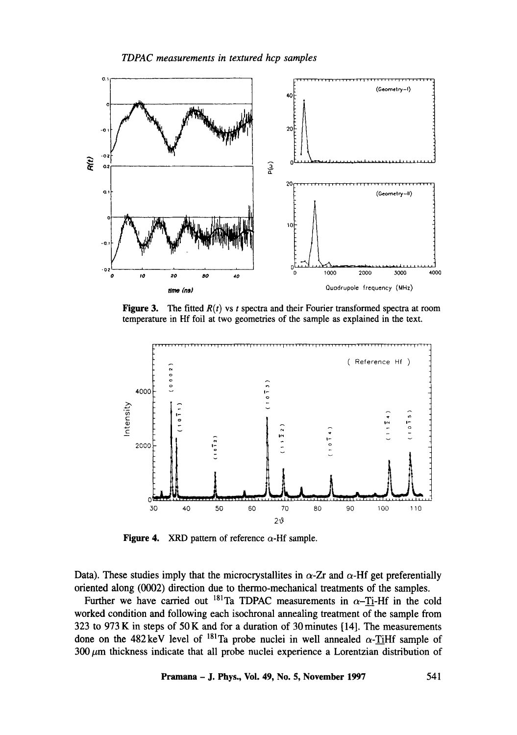

**Figure 3.** The fitted  $R(t)$  vs t spectra and their Fourier transformed spectra at room **temperature in Hf foil at two geometries of the sample as explained in the text.** 



**Figure 4. XRD** pattern of reference  $\alpha$ -Hf sample.

Data). These studies imply that the microcrystallites in  $\alpha$ -Zr and  $\alpha$ -Hf get preferentially **oriented along (0002) direction due to thermo-mechanical treatments of the samples.** 

Further we have carried out <sup>181</sup>Ta TDPAC measurements in  $\alpha$ -Ti-Hf in the cold **worked condition and following each isochronal annealing treatment of the sample from 323 to 973 K in steps of 50 K and for a duration of 30 minutes [14]. The measurements**  done on the 482 keV level of <sup>181</sup>Ta probe nuclei in well annealed  $\alpha$ -TiHf sample of  $300 \mu m$  thickness indicate that all probe nuclei experience a Lorentzian distribution of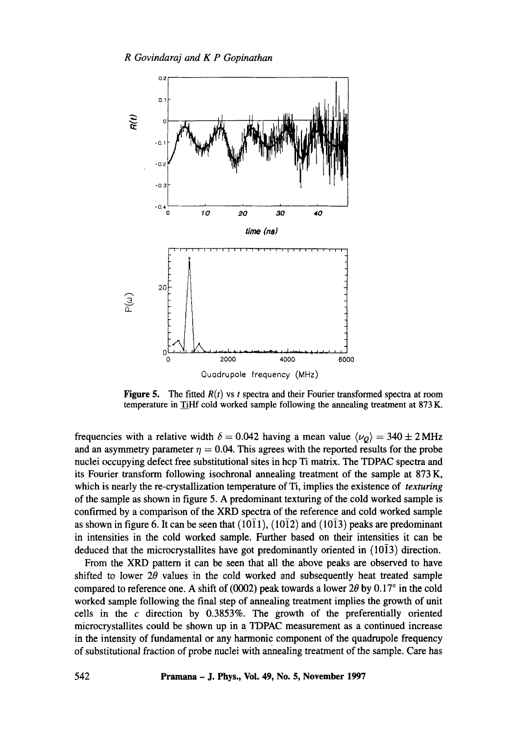

**Figure 5.** The fitted  $R(t)$  vs t spectra and their Fourier transformed spectra at room temperature in TiHf cold worked sample following the annealing treatment at 873 K.

frequencies with a relative width  $\delta = 0.042$  having a mean value  $\langle \nu_Q \rangle = 340 \pm 2 \text{ MHz}$ and an asymmetry parameter  $\eta = 0.04$ . This agrees with the reported results for the probe nuclei occupying defect free substitutional sites in hcp Ti matrix. The TDPAC spectra and its Fourier transform following isochronal annealing treatment of the sample at 873 K, which is nearly the re-crystallization temperature of Ti, implies the existence of *texturing*  of the sample as shown in figure 5. A predominant texturing of the cold worked sample is confirmed by a comparison of the XRD spectra of the reference and cold worked sample as shown in figure 6. It can be seen that  $(10\overline{1}1)$ ,  $(10\overline{1}2)$  and  $(10\overline{1}3)$  peaks are predominant in intensities in the cold worked sample. Further based on their intensities it can be deduced that the microcrystallites have got predominantly oriented in (1013) direction.

From the XRD pattern it can be seen that all the above peaks are observed to have shifted to lower  $2\theta$  values in the cold worked and subsequently heat treated sample compared to reference one. A shift of (0002) peak towards a lower 2 $\theta$  by 0.17° in the cold worked sample following the final step of annealing treatment implies the growth of unit cells in the  $c$  direction by 0.3853%. The growth of the preferentially oriented microcrystallites could be shown up in a TDPAC measurement as a continued increase in the intensity of fundamental or any harmonic component of the quadrupole frequency of substitutional fraction of probe nuclei with annealing treatment of the sample. Care has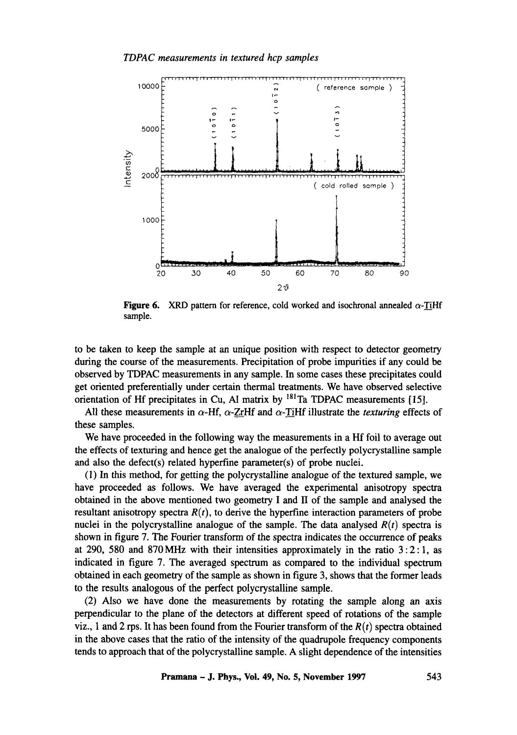

**Figure 6.**  sample. XRD pattern for reference, cold worked and isochronal annealed  $\alpha$ -TiHf

to be taken to keep the sample at an unique position with respect to detector geometry during the course of the measurements. Precipitation of probe impurities if any could be observed by TDPAC measurements in any sample. In some cases these precipitates could get oriented preferentially under certain thermal treatments. We have observed selective orientation of Hf precipitates in Cu, Al matrix by  $^{181}$ Ta TDPAC measurements [15].

All these measurements in  $\alpha$ -Hf,  $\alpha$ -ZrHf and  $\alpha$ -TiHf illustrate the *texturing* effects of these samples.

We have proceeded in the following way the measurements in a Hf foil to average out the effects of texturing and hence get the analogue of the perfectly polycrystalline sample and also the defect(s) related hyperfine parameter(s) of probe nuclei.

(1) In this method, for getting the polycrystalline analogue of the textured sample, we have proceeded as follows. We have averaged the experimental anisotropy spectra obtained in the above mentioned two geometry I and II of the sample and analysed the resultant anisotropy spectra  $R(t)$ , to derive the hyperfine interaction parameters of probe nuclei in the polycrystalline analogue of the sample. The data analysed  $R(t)$  spectra is shown in figure 7. The Fourier transform of the spectra indicates the occurrence of peaks at 290, 580 and 870 MHz with their intensities approximately in the ratio  $3:2:1$ , as indicated in figure 7. The averaged spectrum as compared to the individual spectrum obtained in each geometry of the sample as shown in figure 3, shows that the former leads to the results analogous of the perfect polycrystalline sample.

(2) Also we have done the measurements by rotating the sample along an axis perpendicular to the plane of the detectors at different speed of rotations of the sample viz., 1 and 2 rps. It has been found from the Fourier transform of the  $R(t)$  spectra obtained in the above cases that the ratio of the intensity of the quadrupole frequency components tends to approach that of the polycrystalline sample. A slight dependence of the intensities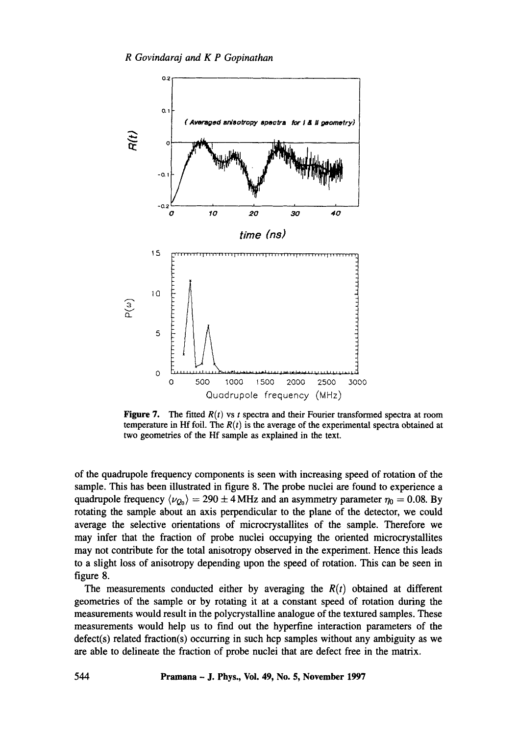

**Figure 7.** The fitted  $R(t)$  vs t spectra and their Fourier transformed spectra at room temperature in Hf foil. The  $R(t)$  is the average of the experimental spectra obtained at two geometries of the Hf sample as explained in the text.

of the quadrupole frequency components is seen with increasing speed of rotation of the sample. This has been illustrated in figure 8. The probe nuclei are found to experience a quadrupole frequency  $\langle \nu_{O_0} \rangle = 290 \pm 4 \text{ MHz}$  and an asymmetry parameter  $\eta_0 = 0.08$ . By rotating the sample about an axis perpendicular to the plane of the detector, we could average the selective orientations of microcrystallites of the sample. Therefore we may infer that the fraction of probe nuclei occupying the oriented microcrystallites may not contribute for the total anisotropy observed in the experiment. Hence this leads to a slight loss of anisotropy depending upon the speed of rotation. This can be seen in figure 8.

The measurements conducted either by averaging the  $R(t)$  obtained at different geometries of the sample or by rotating it at a constant speed of rotation during the measurements would result in the polycrystalline analogue of the textured samples. These measurements would help us to find out the hyperfine interaction parameters of the defect(s) related fraction(s) occurring in such hcp samples without any ambiguity as we are able to delineate the fraction of probe nuclei that are defect free in the matrix.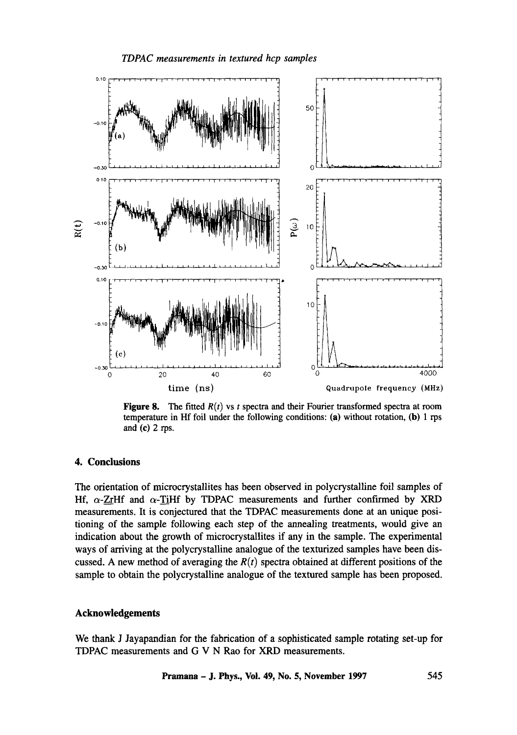

**Figure 8.** The fitted  $R(t)$  vs t spectra and their Fourier transformed spectra at room temperature in Hf foil under the following conditions: (a) without rotation, (b) 1 rps and  $(c)$  2 rps.

# **4. Conclusions**

The orientation of microcrystallites has been observed in polycrystalline foil samples of Hf,  $\alpha$ -ZrHf and  $\alpha$ -TiHf by TDPAC measurements and further confirmed by XRD measurements. It is conjectured that the TDPAC measurements done at an unique positioning of the sample following each step of the annealing treatments, would give an indication about the growth of microcrystallites if any in the sample. The experimental ways of arriving at the polycrystalline analogue of the texturized samples have been discussed. A new method of averaging the  $R(t)$  spectra obtained at different positions of the sample to obtain the polycrystalline analogue of the textured sample has been proposed.

## **Acknowledgements**

We thank J Jayapandian for the fabrication of a sophisticated sample rotating set-up for TDPAC measurements and G V N Rao for XRD measurements.